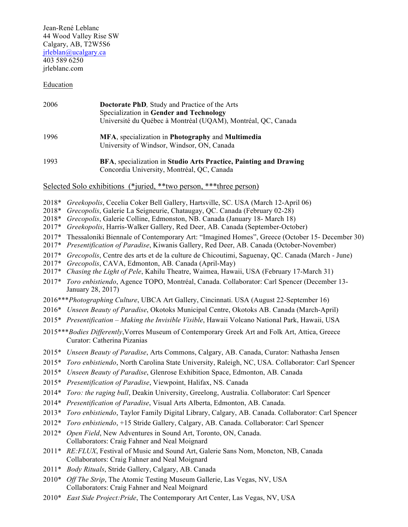Jean-René Leblanc 44 Wood Valley Rise SW Calgary, AB, T2W5S6 jrleblan@ucalgary.ca 403 589 6250 jrleblanc.com

## Education

| 2006 | <b>Doctorate PhD</b> , Study and Practice of the Arts<br>Specialization in Gender and Technology<br>Université du Québec à Montréal (UQAM), Montréal, QC, Canada<br>MFA, specialization in Photography and Multimedia<br>University of Windsor, Windsor, ON, Canada |  |  |  |
|------|---------------------------------------------------------------------------------------------------------------------------------------------------------------------------------------------------------------------------------------------------------------------|--|--|--|
| 1996 |                                                                                                                                                                                                                                                                     |  |  |  |
| 1993 | BFA, specialization in Studio Arts Practice, Painting and Drawing<br>Concordia University, Montréal, QC, Canada                                                                                                                                                     |  |  |  |

Selected Solo exhibitions (\*juried, \*\*two person, \*\*\*three person)

- 2018\* *Greekopolis*, Cecelia Coker Bell Gallery, Hartsville, SC. USA (March 12-April 06)
- 2018\* *Grecopolis*, Galerie La Seigneurie, Chataugay, QC. Canada (February 02-28)
- 2018\* *Grecopolis*, Galerie Colline, Edmonston, NB. Canada (January 18- March 18)
- 2017\* *Greekopolis*, Harris-Walker Gallery, Red Deer, AB. Canada (September-October)
- 2017\* Thessaloniki Biennale of Contemporary Art: "Imagined Homes", Greece (October 15- December 30)
- 2017\* *Presentification of Paradise*, Kiwanis Gallery, Red Deer, AB. Canada (October-November)
- 2017\* *Grecopolis*, Centre des arts et de la culture de Chicoutimi, Saguenay, QC. Canada (March June)
- 2017\* *Grecopolis*, CAVA, Edmonton, AB. Canada (April-May)
- 2017\* *Chasing the Light of Pele*, Kahilu Theatre, Waimea, Hawaii, USA (February 17-March 31)
- 2017\* *Toro enbistiendo*, Agence TOPO, Montréal, Canada. Collaborator: Carl Spencer (December 13- January 28, 2017)
- 2016\*\*\**Photographing Culture*, UBCA Art Gallery, Cincinnati. USA (August 22-September 16)
- 2016\* *Unseen Beauty of Paradise*, Okotoks Municipal Centre, Okotoks AB. Canada (March-April)
- 2015\* *Presentification – Making the Invisible Visible*, Hawaii Volcano National Park, Hawaii, USA
- 2015\*\*\**Bodies Differently*,Vorres Museum of Contemporary Greek Art and Folk Art, Attica, Greece Curator: Catherina Pizanias
- 2015\* *Unseen Beauty of Paradise*, Arts Commons, Calgary, AB. Canada, Curator: Nathasha Jensen
- 2015\* *Toro enbistiendo*, North Carolina State University, Raleigh, NC, USA. Collaborator: Carl Spencer
- 2015\* *Unseen Beauty of Paradise*, Glenrose Exhibition Space, Edmonton, AB. Canada
- 2015\* *Presentification of Paradise*, Viewpoint, Halifax, NS. Canada
- 2014\* *Toro: the raging bull*, Deakin University, Greelong, Australia. Collaborator: Carl Spencer
- 2014\* *Presentification of Paradise*, Visual Arts Alberta, Edmonton, AB. Canada.
- 2013\* *Toro enbistiendo*, Taylor Family Digital Library, Calgary, AB. Canada. Collaborator: Carl Spencer
- 2012\* *Toro enbistiendo*, +15 Stride Gallery, Calgary, AB. Canada. Collaborator: Carl Spencer
- 2012\* *Open Field*, New Adventures in Sound Art, Toronto, ON, Canada. Collaborators: Craig Fahner and Neal Moignard
- 2011\* *RE:FLUX*, Festival of Music and Sound Art, Galerie Sans Nom, Moncton, NB, Canada Collaborators: Craig Fahner and Neal Moignard
- 2011\* *Body Rituals*, Stride Gallery, Calgary, AB. Canada
- 2010\* *Off The Strip*, The Atomic Testing Museum Gallerie, Las Vegas, NV, USA Collaborators: Craig Fahner and Neal Moignard
- 2010\* *East Side Project:Pride*, The Contemporary Art Center, Las Vegas, NV, USA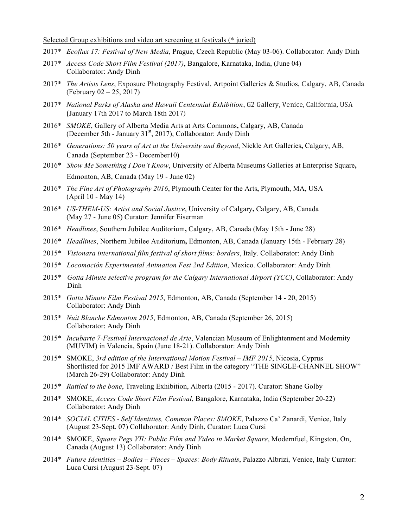Selected Group exhibitions and video art screening at festivals (\* juried)

- 2017\* *Ecoflux 17: Festival of New Media*, Prague, Czech Republic (May 03-06). Collaborator: Andy Dinh
- 2017\* *Access Code Short Film Festival (2017)*, Bangalore, Karnataka, India, (June 04) Collaborator: Andy Dinh
- 2017\* *The Artists Lens*, Exposure Photography Festival, Artpoint Galleries & Studios, Calgary, AB, Canada (February 02 – 25, 2017)
- 2017\* National Parks of Alaska and Hawaii Centennial Exhibition, G2 Gallery, Venice, California, USA (January 17th 2017 to March 18th 2017)
- 2016\* *SMOKE*, Gallery of Alberta Media Arts at Arts Commons**,** Calgary, AB, Canada (December 5th - January 31<sup>st</sup>, 2017), Collaborator: Andy Dinh
- 2016\* *Generations: 50 years of Art at the University and Beyond*, Nickle Art Galleries**,** Calgary, AB, Canada (September 23 - December10)
- 2016\* *Show Me Something I Don't Know*, University of Alberta Museums Galleries at Enterprise Square**,**  Edmonton, AB, Canada (May 19 - June 02)
- 2016\* *The Fine Art of Photography 2016*, Plymouth Center for the Arts**,** Plymouth, MA, USA (April 10 - May 14)
- 2016\* *US-THEM-US: Artist and Social Justice*, University of Calgary**,** Calgary, AB, Canada (May 27 - June 05) Curator: Jennifer Eiserman
- 2016\* *Headlines*, Southern Jubilee Auditorium**,** Calgary, AB, Canada (May 15th June 28)
- 2016\* *Headlines*, Northern Jubilee Auditorium**,** Edmonton, AB, Canada (January 15th February 28)
- 2015\* *Visionara international film festival of short films: borders*, Italy. Collaborator: Andy Dinh
- 2015\* *Locomoción Experimental Animation Fest 2nd Edition*, Mexico. Collaborator: Andy Dinh
- 2015\* *Gotta Minute selective program for the Calgary International Airport (YCC)*, Collaborator: Andy Dinh
- 2015\* *Gotta Minute Film Festival 2015*, Edmonton, AB, Canada (September 14 20, 2015) Collaborator: Andy Dinh
- 2015\* *Nuit Blanche Edmonton 2015*, Edmonton, AB, Canada (September 26, 2015) Collaborator: Andy Dinh
- 2015\* *Incubarte 7-Festival Internacional de Arte*, Valencian Museum of Enlightenment and Modernity (MUVIM) in Valencia, Spain (June 18-21). Collaborator: Andy Dinh
- 2015\* SMOKE, *3rd edition of the International Motion Festival – IMF 2015*, Nicosia, Cyprus Shortlisted for 2015 IMF AWARD / Best Film in the category "THE SINGLE-CHANNEL SHOW" (March 26-29) Collaborator: Andy Dinh
- 2015\* *Rattled to the bone*, Traveling Exhibition, Alberta (2015 2017). Curator: Shane Golby
- 2014\* SMOKE, *Access Code Short Film Festival*, Bangalore, Karnataka, India (September 20-22) Collaborator: Andy Dinh
- 2014\* *SOCIAL CITIES - Self Identities, Common Places: SMOKE*, Palazzo Ca' Zanardi, Venice, Italy (August 23-Sept. 07) Collaborator: Andy Dinh, Curator: Luca Cursi
- 2014\* SMOKE, *Square Pegs VII: Public Film and Video in Market Square*, Modernfuel, Kingston, On, Canada (August 13) Collaborator: Andy Dinh
- 2014\* *Future Identities – Bodies – Places – Spaces: Body Rituals*, Palazzo Albrizi, Venice, Italy Curator: Luca Cursi (August 23-Sept. 07)